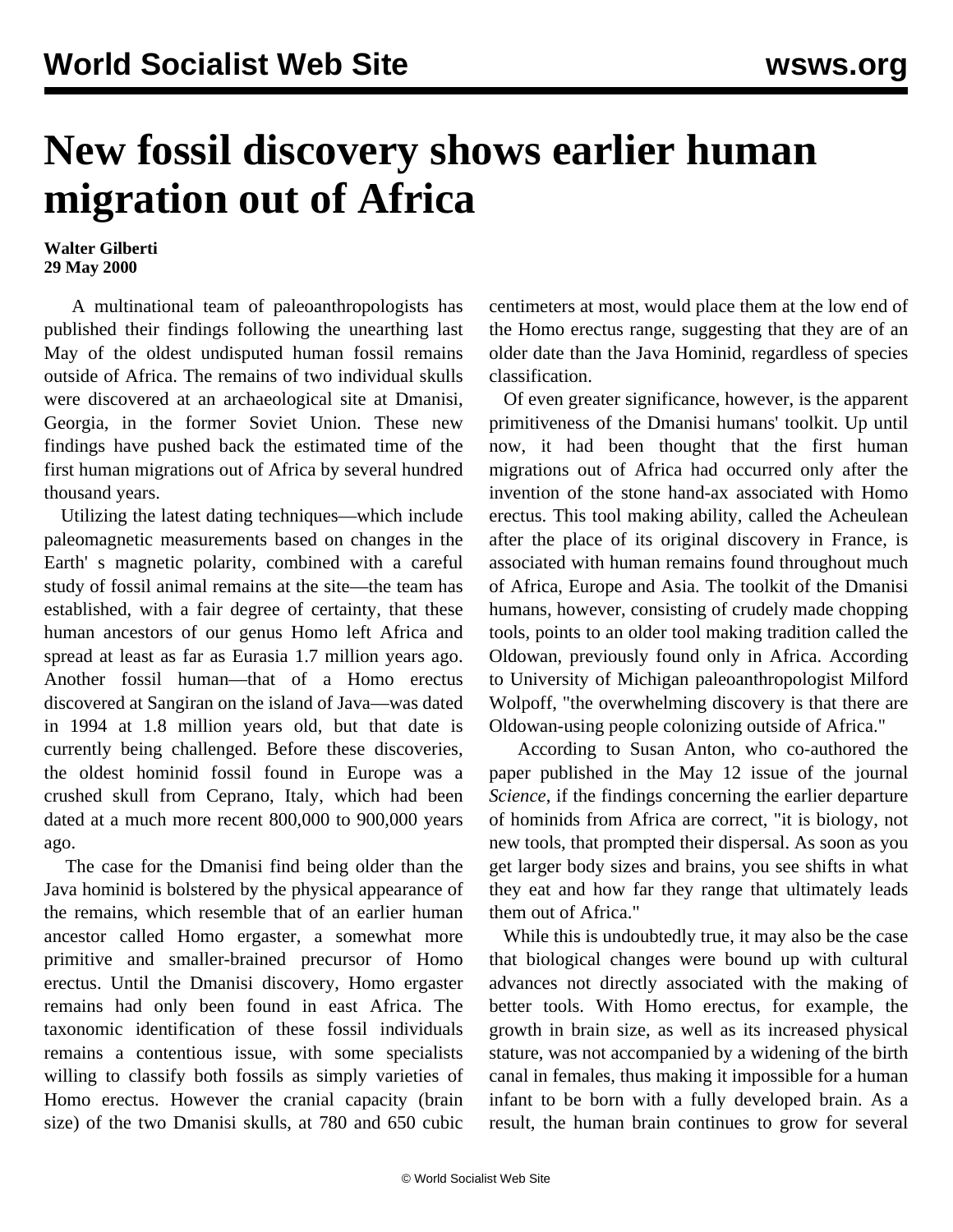## **New fossil discovery shows earlier human migration out of Africa**

## **Walter Gilberti 29 May 2000**

 A multinational team of paleoanthropologists has published their findings following the unearthing last May of the oldest undisputed human fossil remains outside of Africa. The remains of two individual skulls were discovered at an archaeological site at Dmanisi, Georgia, in the former Soviet Union. These new findings have pushed back the estimated time of the first human migrations out of Africa by several hundred thousand years.

 Utilizing the latest dating techniques—which include paleomagnetic measurements based on changes in the Earth' s magnetic polarity, combined with a careful study of fossil animal remains at the site—the team has established, with a fair degree of certainty, that these human ancestors of our genus Homo left Africa and spread at least as far as Eurasia 1.7 million years ago. Another fossil human—that of a Homo erectus discovered at Sangiran on the island of Java—was dated in 1994 at 1.8 million years old, but that date is currently being challenged. Before these discoveries, the oldest hominid fossil found in Europe was a crushed skull from Ceprano, Italy, which had been dated at a much more recent 800,000 to 900,000 years ago.

 The case for the Dmanisi find being older than the Java hominid is bolstered by the physical appearance of the remains, which resemble that of an earlier human ancestor called Homo ergaster, a somewhat more primitive and smaller-brained precursor of Homo erectus. Until the Dmanisi discovery, Homo ergaster remains had only been found in east Africa. The taxonomic identification of these fossil individuals remains a contentious issue, with some specialists willing to classify both fossils as simply varieties of Homo erectus. However the cranial capacity (brain size) of the two Dmanisi skulls, at 780 and 650 cubic

centimeters at most, would place them at the low end of the Homo erectus range, suggesting that they are of an older date than the Java Hominid, regardless of species classification.

 Of even greater significance, however, is the apparent primitiveness of the Dmanisi humans' toolkit. Up until now, it had been thought that the first human migrations out of Africa had occurred only after the invention of the stone hand-ax associated with Homo erectus. This tool making ability, called the Acheulean after the place of its original discovery in France, is associated with human remains found throughout much of Africa, Europe and Asia. The toolkit of the Dmanisi humans, however, consisting of crudely made chopping tools, points to an older tool making tradition called the Oldowan, previously found only in Africa. According to University of Michigan paleoanthropologist Milford Wolpoff, "the overwhelming discovery is that there are Oldowan-using people colonizing outside of Africa."

 According to Susan Anton, who co-authored the paper published in the May 12 issue of the journal *Science*, if the findings concerning the earlier departure of hominids from Africa are correct, "it is biology, not new tools, that prompted their dispersal. As soon as you get larger body sizes and brains, you see shifts in what they eat and how far they range that ultimately leads them out of Africa."

 While this is undoubtedly true, it may also be the case that biological changes were bound up with cultural advances not directly associated with the making of better tools. With Homo erectus, for example, the growth in brain size, as well as its increased physical stature, was not accompanied by a widening of the birth canal in females, thus making it impossible for a human infant to be born with a fully developed brain. As a result, the human brain continues to grow for several